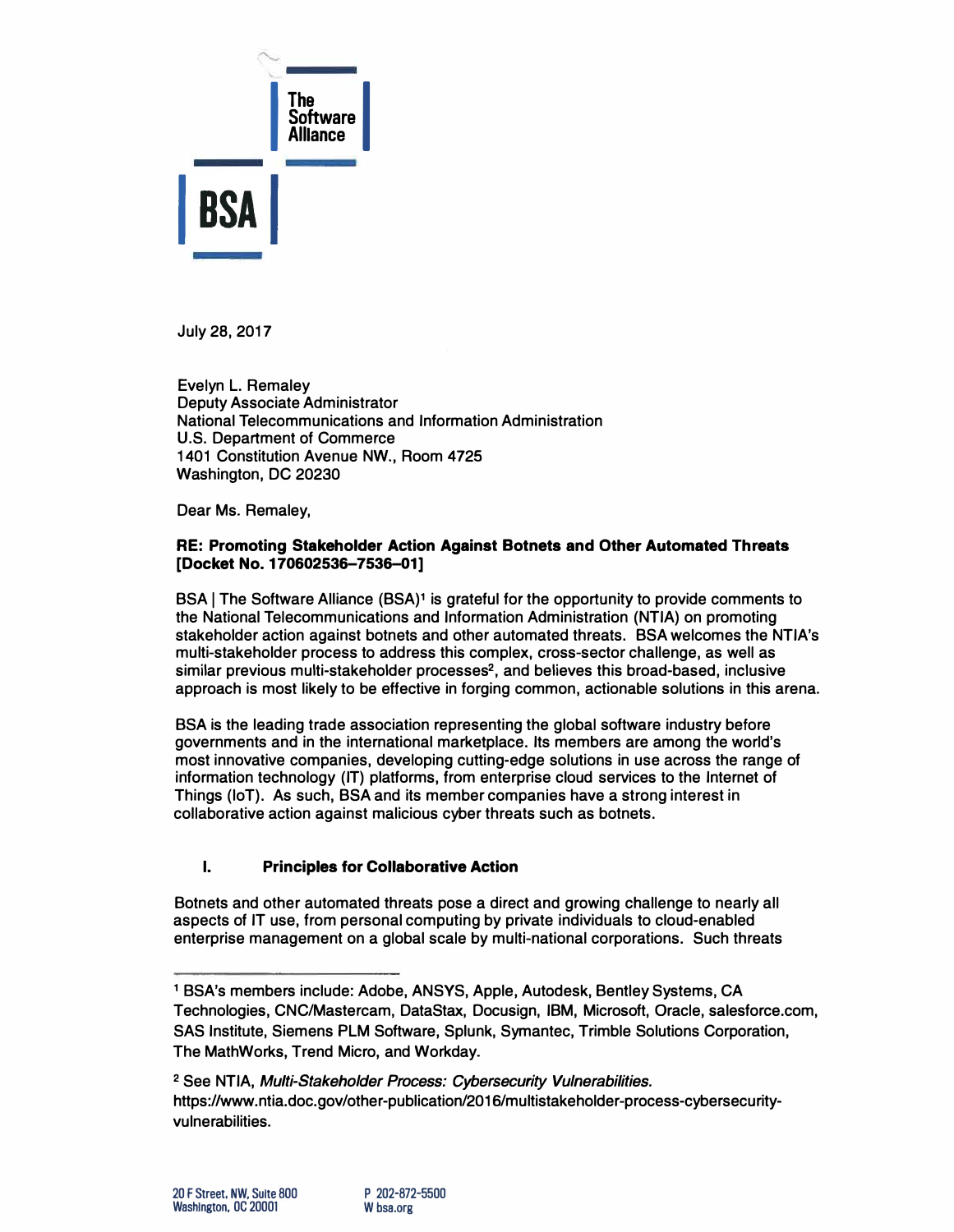

**July 28, 2017** 

**Evelyn L. Remaley Deputy Associate Administrator National Telecommunications and Information Administration U.S. Department of Commerce 1401 Constitution Avenue NW., Room 4725 Washington, DC 20230** 

**Dear Ms. Remaley,** 

### **RE: Promoting Stakeholder Action Against Botnets and Other Automated Threats [Docket No. 170602536-7536-01]**

**BSA I The Software Alliance (BSA)1 is grateful for the opportunity to provide comments to the National Telecommunications and Information Administration (NTIA) on promoting stakeholder action against botnets and other automated threats. BSA welcomes the NTIA's multi-stakeholder process to address this complex, cross-sector challenge, as well as similar previous multi-stakeholder processes<sup>2</sup> , and believes this broad-based, inclusive approach is most likely to be effective in forging common, actionable solutions in this arena.** 

**BSA is the leading trade association representing the global software industry before governments and in the international marketplace. Its members are among the world's most innovative companies, developing cutting-edge solutions in use across the range of information technology (IT) platforms, from enterprise cloud services to the Internet of Things (loT). As such, BSA and its member companies have a strong interest in collaborative action against malicious cyber threats such as botnets.** 

## **I. Principles for Collaborative Action**

**Botnets and other automated threats pose a direct and growing challenge to nearly all aspects of IT use, from personal computing by private individuals to cloud-enabled enterprise management on a global scale by multi-national corporations. Such threats** 

**<sup>1</sup>SSA's members include: Adobe, ANSYS, Apple, Autodesk, Bentley Systems, CA Technologies, CNC/Mastercam, DataStax, Docusign, IBM, Microsoft, Oracle, salesforce.com, SAS Institute, Siemens PLM Software, Splunk, Symantec, Trimble Solutions Corporation, The MathWorks, Trend Micro, and Workday.** 

**<sup>2</sup>See NTIA,** *Mu/ti-Stakeholder Process: Cybersecurity Vulnerabilities.*  **https://www.ntia.doc.gov/other-publication/2016/multistakeholder-process-cybersecurityvulnerabilities.**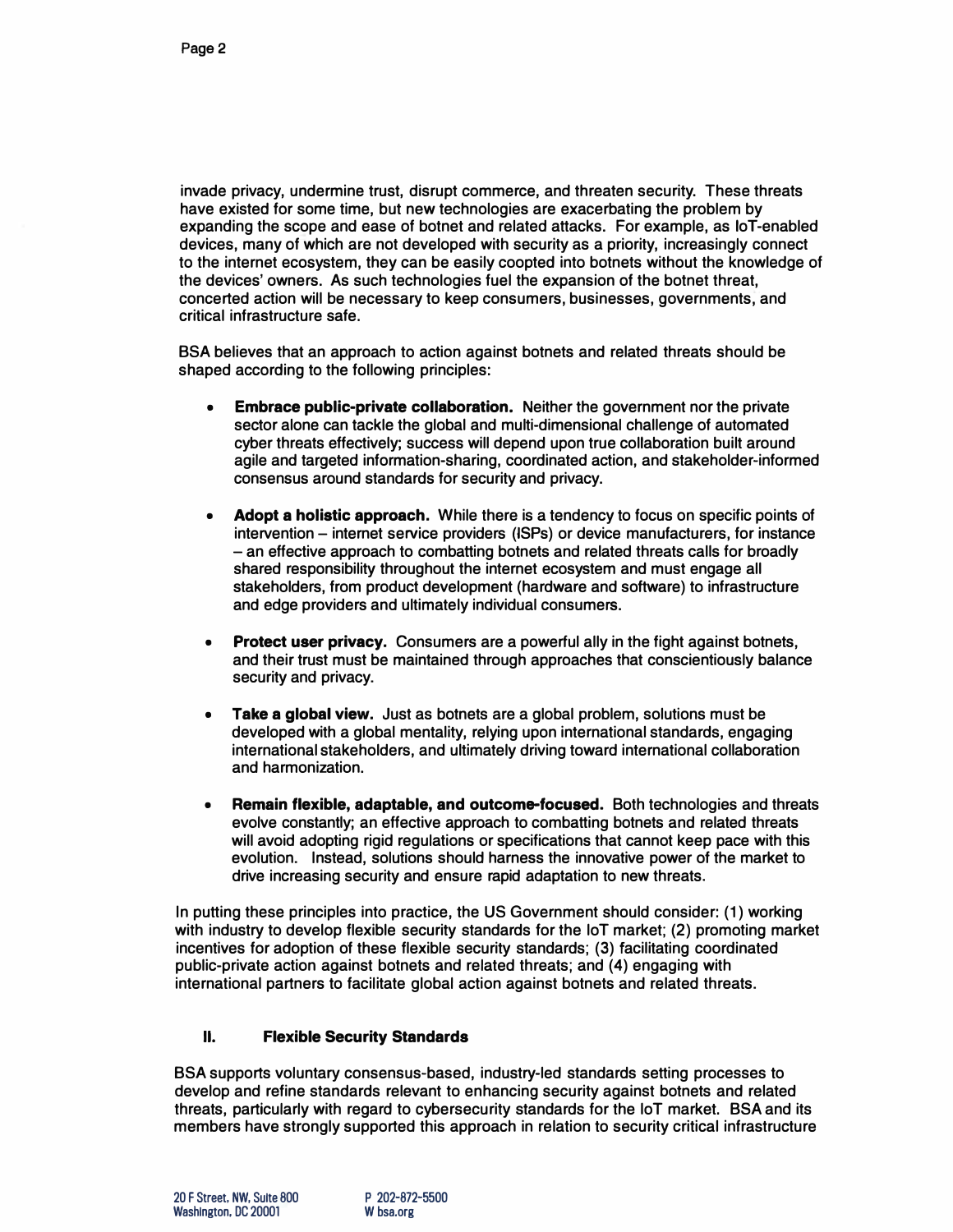**invade privacy, undermine trust, disrupt commerce, and threaten security. These threats have existed for some time, but new technologies are exacerbating the problem by expanding the scope and ease of botnet and related attacks. For example, as loT-enabled devices, many of which are not developed with security as a priority, increasingly connect to the internet ecosystem, they can be easily coopted into botnets without the knowledge of the devices' owners. As such technologies fuel the expansion of the botnet threat, concerted action will be necessary to keep consumers, businesses, governments; and critical infrastructure safe.** 

**BSA believes that an approach to action against botnets and related threats should be shaped according to the following principles:** 

- **• Embrace public-private collaboration. Neither the government nor the private sector alone can tackle the global and multi-dimensional challenge of automated cyber threats effectively; success will depend upon true collaboration built around agile and targeted information-sharing, coordinated action, and stakeholder-informed consensus around standards for security and privacy.**
- **• Adopt a holistic approach. While there is a tendency to focus on specific points of intervention - internet service providers (lSPs) or device manufacturers, for instance - an effective approach to combatting botnets and related threats calls for broadly shared responsibility throughout the internet ecosystem and must engage all stakeholders, from product development (hardware and software) to infrastructure and edge providers and ultimately individual consumers.**
- **• Protect user privacy. Consumers are a powerful ally in the fight against botnets, and their trust must be maintained through approaches that conscientiously balance security and privacy.**
- **• Take a global view. Just as botnets are a global problem, solutions must be developed with a global mentality, relying upon international standards, engaging international stakeholders, and ultimately driving toward international collaboration and harmonization.**
- **• Remain flexible, adaptable, and outco\_me-focused. Both technologies and threats evolve constantly; an effective approach to combatting botnets and related threats will avoid adopting rigid regulations or specifications that cannot keep pace with this evolution. Instead, solutions should harness the innovative power of the market to drive increasing security and ensure rapid adaptation to new threats.**

**In putting these principles into practice, the US Government should consider: (1) working with industry to develop flexible security standards for the loT market; (2) promoting market incentives for adoption of these flexible security standards; (3) facilitating coordinated public-private action against botnets and related threats; and (4) engaging with international partners to facilitate global action against botnets and related threats.** 

## **II. Flexible Security Standards**

**BSA supports voluntary consensus-based, industry-led standards setting processes to develop and refine standards relevant to enhancing security against botnets and related threats, particularly with regard to cybersecurity standards for the loT market. BSA and its members have strongly supported this approach in relation to security critical infrastructure**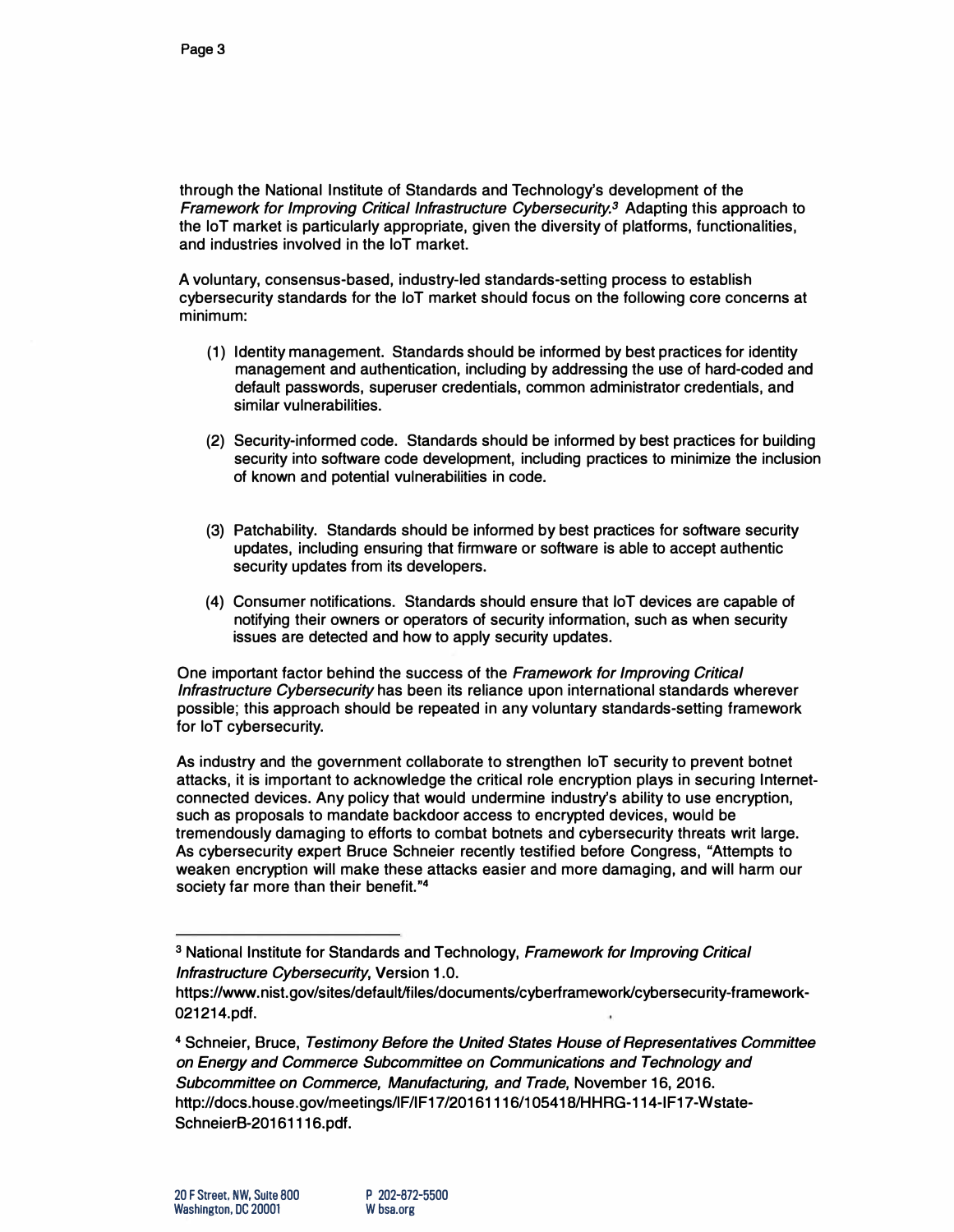**through the National Institute of Standards and Technology's development of the**  *Framework for Improving Critical Infrastructure Cybersecurity.<sup>3</sup>***Adapting this approach to the loT market is particularly appropriate, given the diversity of platforms, functionalities, and industries involved in the loT market.** 

**A voluntary, consensus-based, industry-led standards-setting process to establish cybersecurity standards for the loT market should focus on the following core concerns at minimum:** 

- **(1) Identity management. Standards should be informed by best practices for identity management and authentication, including by addressing the use of hard-coded and default passwords, superuser credentials, common administrator credentials, and similar vulnerabilities.**
- **(2) Security-informed code. Standards should be informed by best practices for building security into software code development, including practices to minimize the inclusion of known and potential vulnerabilities in code.**
- **(3) Patchability. Standards should be informed by best practices for software security updates, including ensuring that firmware or software is able to accept authentic security updates from its developers.**
- **(4) Consumer notifications. Standards should ensure that loT devices are capable of notifying their owners or operators of security information, such as when security issues are detected and how to apply security updates.**

**One important factor behind the success of the** *Framework for Improving Critical Infrastructure Cybersecurity* **has been its reliance upon international standards wherever possible; this approach should be repeated in any voluntary standards-setting framework for loT cybersecurity.** 

**As industry and the government collaborate to strengthen loT security to prevent botnet attacks, it is important to acknowledge the critical role encryption plays in securing Internetconnected devices. Any policy that would undermine industry's ability to use encryption, such as proposals to mandate backdoor access to encrypted devices, would be tremendously damaging to efforts to combat botnets and cybersecurity threats writ large. As cybersecurity expert Bruce Schneier recently testified before Congress, "Attempts to weaken encryption will make these attacks easier and more damaging, and will harm our society far more than their benefit. " 4** 

**<sup>3</sup>National Institute for Standards and Technology,** *Framework for Improving Critical Infrastructure Cybersecurity,* **Version 1.0.** 

https://www.nist.gov/sites/default/files/documents/cyberframework/cybersecurity-framework-**021214.pdf.** 

**<sup>4</sup>Schneier, Bruce,** *Testimony Before the United States House of Representatives Committee on Energy and Commerce Subcommittee on Communications and Technology and Subcommittee on Commerce, Manufacturing, and Trade,* **November 16, 2016. http://docs.house.gov/meetings/lF/IF17/20161116/10541 B/HHRG-114-IF17-Wstate-SchneierB-20161116.pdf.**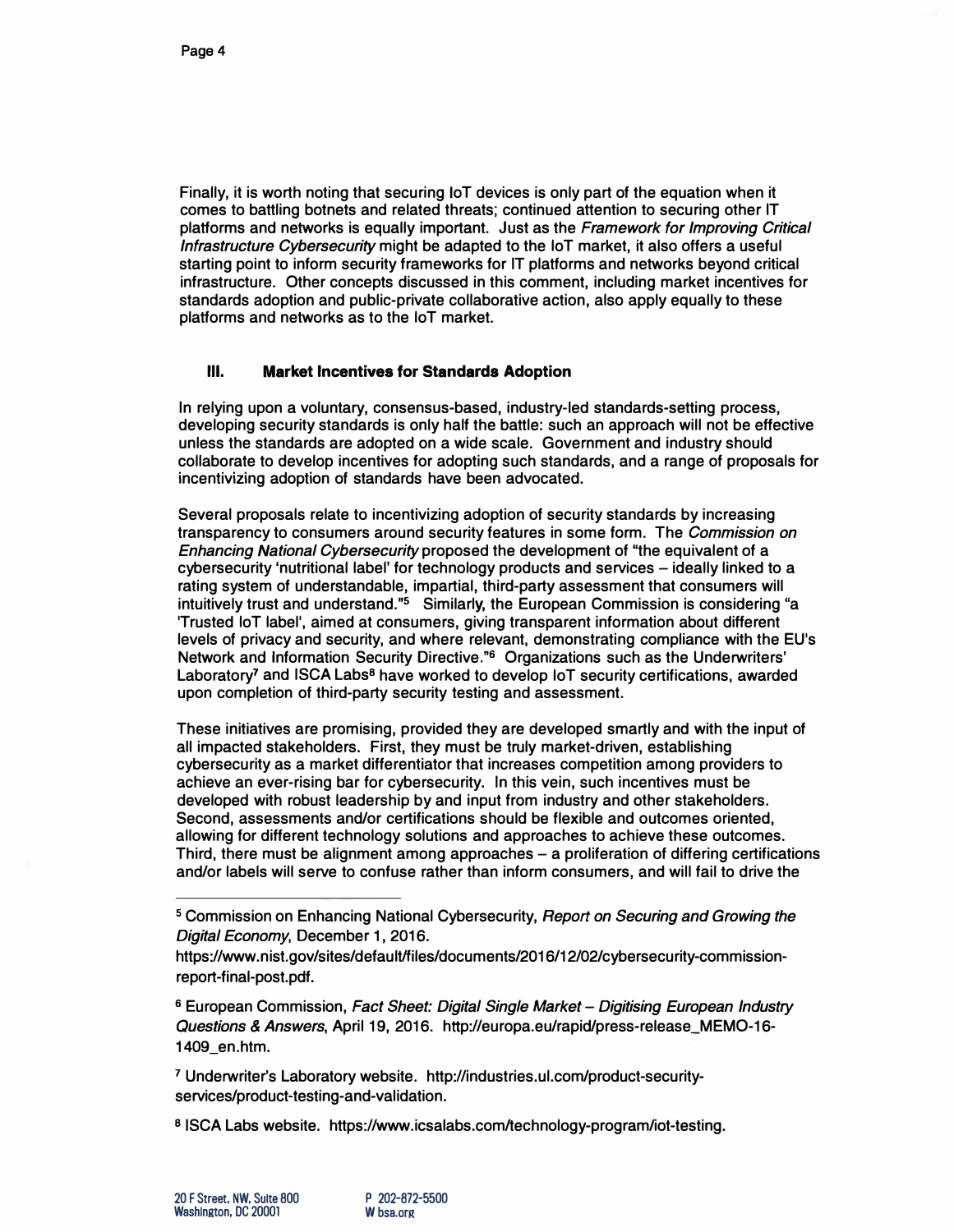**Finally, it is worth noting that securing loT devices is only part of the equation when it comes to battling botnets and related threats; continued attention to securing other IT platforms and networks is equally important. Just as the** *Framework for Improving Critical Infrastructure Cybersecurity* **might be adapted to the loT market, it also offers a useful starting point to inform security frameworks for IT platforms and networks beyond critical infrastructure. Other concepts discussed in this comment, including market incentives for standards adoption and public-private collaborative action, also apply equally to these platforms and networks as to the loT market.** 

#### **Ill. Market Incentives for Standards Adoption**

**In relying upon a voluntary, consensus-based, industry-led standards-setting process, developing security standards is only half the battle: such an approach will not be effective unless the standards are adopted on a wide scale. Government and industry should collaborate to develop incentives for adopting such standards, and a range of proposals for incentivizing adoption of standards have been advocated.** 

**Several proposals relate to incentivizing adoption of security standards by increasing transparency to consumers around security features in some form. The** *Commission on Enhancing National Cybersecurity* **proposed the development of "the equivalent of a**  cybersecurity 'nutritional label' for technology products and services - ideally linked to a **rating system of understandable, impartial, third-party assessment that consumers will intuitively trust and understand."**5 **Similarly, the European Commission is considering "a 'Trusted loT label', aimed at consumers, giving transparent information about different levels of privacy and security, and where relevant, demonstrating compliance with the EU's Network and Information Security Directive."**<sup>6</sup>**Organizations such as the Underwriters' Laboratory7 and ISCA Labs8 have worked to develop loT security certifications, awarded upon completion of third-party security testing and assessment.** 

**These initiatives are promising, provided they are developed smartly and with the input of all impacted stakeholders. First, they must be truly market-driven, establishing cybersecurity as a market differentiator that increases competition among providers to achieve an ever-rising bar for cybersecurity. In this vein, such incentives must be developed with robust leadership by and input from industry and other stakeholders. Second, assessments and/or certifications should be flexible and outcomes oriented, allowing for different technology solutions and approaches to achieve these outcomes. Third, there must be alignment among approaches - a proliferation of differing certifications and/or labels will serve to confuse rather than inform consumers, and will fail to drive the** 

<sup>6</sup>**European Commission,** *Fact Sheet: Digital Single Market* **-** *Digitising European Industry Questions & Answers,* **April 19, 2016. http://europa.eu/rapid/press-release\_MEM0-16- 1409\_en.htm.** 

**7 Underwriter's Laboratory website. http://industries.ul.com/product-securityservices/product-testing-and-validation.** 

<sup>8</sup>**ISCA Labs website. https://www.icsalabs.com/technology-program/iot-testing.** 

**<sup>5</sup>Commission on Enhancing National Cybersecurity,** *Report on Securing and Growing the Digital Economy,* **December 1, 2016.** 

**https://www .nist.gov/sites/default/files/documents/2016/12/02/cybersecurity-commissionreport-final-post.pdf.**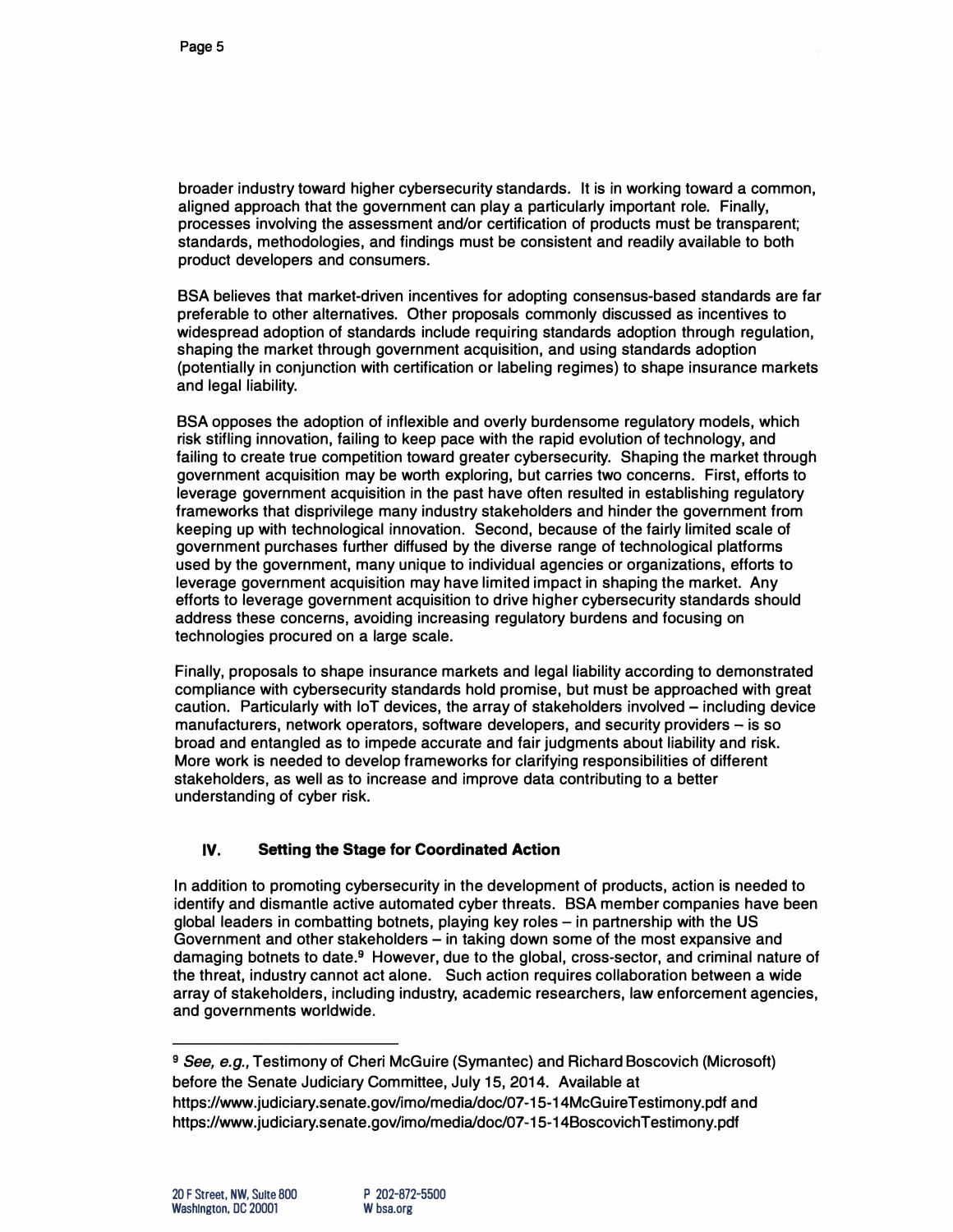**broader industry toward higher cybersecurity standards. It is in working toward a common, aligned approach that the government can play a particularly important role. Finally, processes involving the assessment and/or certification of products must be transparent; standards, methodologies, and findings must be consistent and readily available to both product developers and consumers.** 

**BSA believes that market-driven incentives for adopting consensus-based standards are far preferable to other alternatives. Other proposals commonly discussed as incentives to widespread adoption of standards include requiring standards adoption through regulation, shaping the market through government acquisition, and using standards adoption (potentially in conjunction with certification or labeling regimes) to shape insurance markets and legal liability.** 

**BSA opposes the adoption of inflexible and overly burdensome regulatory models, which risk stifling innovation, failing to keep pace with the rapid evolution of technology, and failing to create true competition toward greater cybersecurity. Shaping the market through government acquisition may be worth exploring, but carries two concerns. First, efforts to leverage government acquisition in the past have often resulted in establishing regulatory frameworks that disprivilege many industry stakeholders and hinder the government from keeping up with technological innovation. Second, because of the fairly limited scale of government purchases further diffused by the diverse range of technological platforms used by the government, many unique to individual agencies or organizations, efforts to leverage government acquisition may have limited impact in shaping the market. Any efforts to leverage government acquisition to drive higher cybersecurity standards should address these concerns, avoiding increasing regulatory burdens and focusing on technologies procured on a large scale.** 

**Finally, proposals to shape insurance markets and legal liability according to demonstrated compliance with cybersecurity standards hold promise, but must be approached with great caution. Particularly with loT devices, the array of stakeholders involved - including device manufacturers, network operators, software developers, and security providers - is so broad and entangled as to impede accurate and fair judgments about liability and risk. More work is needed to develop frameworks for clarifying responsibilities of different stakeholders, as well as to increase and improve data contributing to a better understanding of cyber risk.** 

## **IV. Setting the Stage for Coordinated Action**

**In addition to promoting cybersecurity in the development of products, action is needed to identify and dismantle active automated cyber threats. BSA member companies have been global leaders in combatting botnets, playing key roles - in partnership with the US Government and other stakeholders - in taking down some of the most expansive and damaging botnets to date.9 However, due to the global, cross-sector, and criminal nature of the threat, industry cannot act alone. Such action requires collaboration between a wide array of stakeholders, including industry, academic researchers, law enforcement agencies, and governments worldwide.** 

**<sup>9</sup>***See, e.g.,* **Testimony of Cheri McGuire (Symantec) and Richard Boscovich (Microsoft) before the Senate Judiciary Committee, July 15, 2014. Available at https://www.judiciary.senate.gov/imo/media/doc/07-15-14McGuireTestimony.pdf and https://www .judiciary.senate.gov/imo/media/doc/07-15-14Boscovich Testimony.pdf**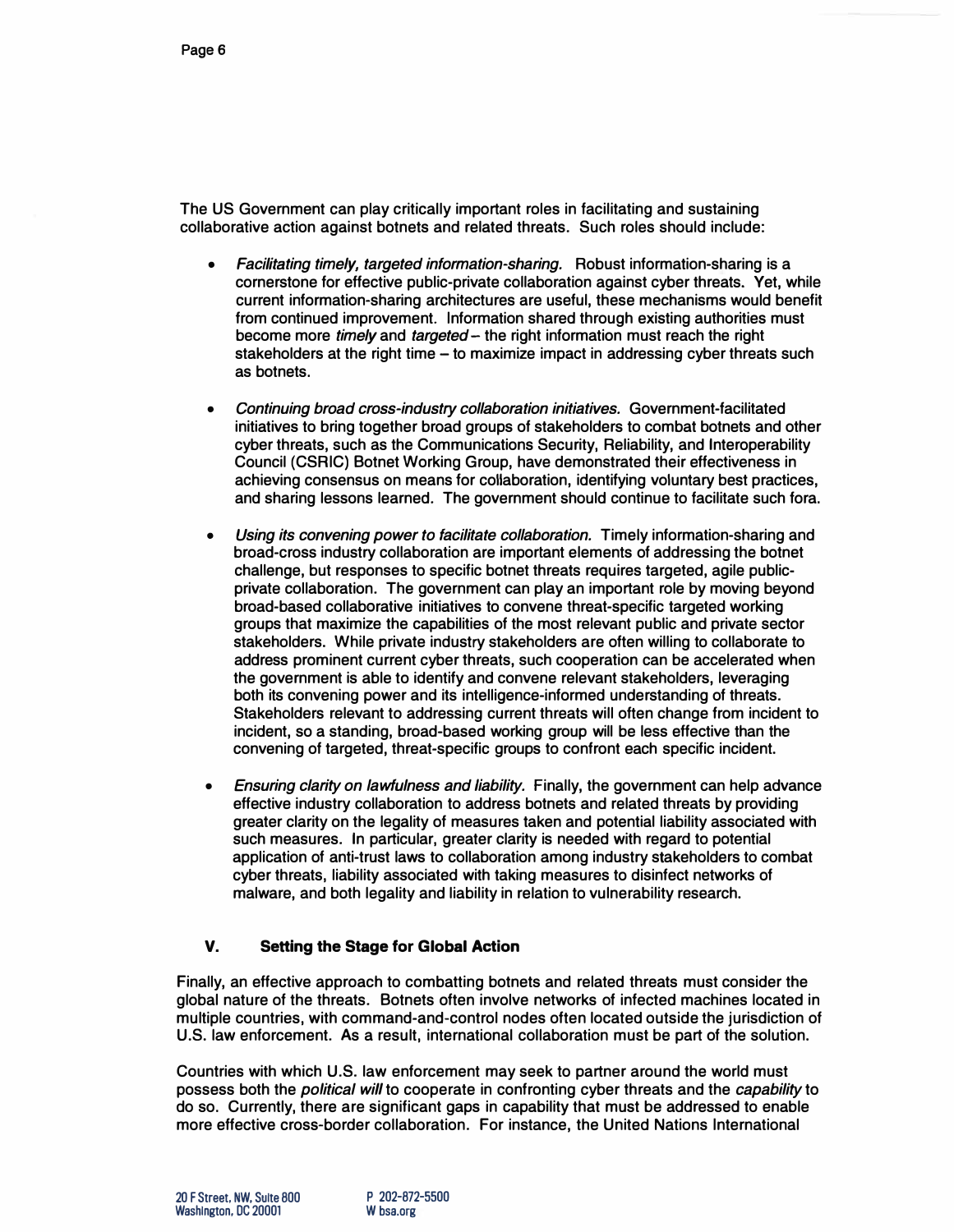**The US Government can play critically important roles in facilitating and sustaining collaborative action against botnets and related threats. Such roles should include:** 

- **•** *Facilitating timely, targeted information-sharing.* **Robust information-sharing is a cornerstone for effective public-private collaboration against cyber threats. Yet, while current information-sharing architectures are useful, these mechanisms would benefit from continued improvement. Information shared through existing authorities must become more** *timely* **and** *targeted-* **the right information must reach the right stakeholders at the right time - to maximize impact in addressing cyber threats such as botnets.**
- **•** *Continuing broad cross-industry collaboration initiatives.* **Government-facilitated initiatives to bring together broad groups of stakeholders to combat botnets and other cyber threats, such as the Communications Security, Reliability, and Interoperability Council (CSRIC) Botnet Working Group, have demonstrated their effectiveness in achieving consensus on means for collaboration, identifying voluntary best practices, and sharing lessons learned. The government should continue to facilitate such fora.**
- **•** *Using its convening power to facilitate collaboration.* **Timely information-sharing and broad-cross industry collaboration are important elements of addressing the botnet challenge, but responses to specific botnet threats requires targeted, agile publicprivate collaboration. The government can play an important role by moving beyond broad-based collaborative initiatives to convene threat-specific targeted working groups that maximize the capabilities of the most relevant public and private sector stakeholders. While private industry stakeholders are often willing to collaborate to address prominent current cyber threats, such cooperation can be accelerated when the government is able to identify and convene relevant stakeholders, leveraging both its convening power and its intelligence-informed understanding of threats. Stakeholders relevant to addressing current threats will often change from incident to incident, so a standing, broad-based working group will be less effective than the convening of targeted, threat-specific groups to confront each specific incident.**
- **•** *Ensuring clarity on lawfulness and liability.* **Finally, the government can help advance effective industry collaboration to address botnets and related threats by providing greater clarity on the legality of measures taken and potential liability associated with such measures. In particular, greater clarity is needed with regard to potential application of anti-trust laws to collaboration among industry stakeholders to combat cyber threats, liability associated with taking measures to disinfect networks of malware, and both legality and liability in relation to vulnerability research.**

# **V. Setting the Stage for Global Action**

**Finally, an effective approach to combatting botnets and related threats must consider the global nature of the threats. Botnets often involve networks of infected machines located in multiple countries, with command-and-control nodes often located outside the jurisdiction of U.S. law enforcement. As a result, international collaboration must be part of the solution.** 

**Countries with which U.S. law enforcement may seek to partner around the world must possess both the** *political will* **to cooperate in confronting cyber threats and the** *capability* **to do so. Currently, there are significant gaps in capability that must be addressed to enable more effective cross-border collaboration. For instance, the United Nations International**